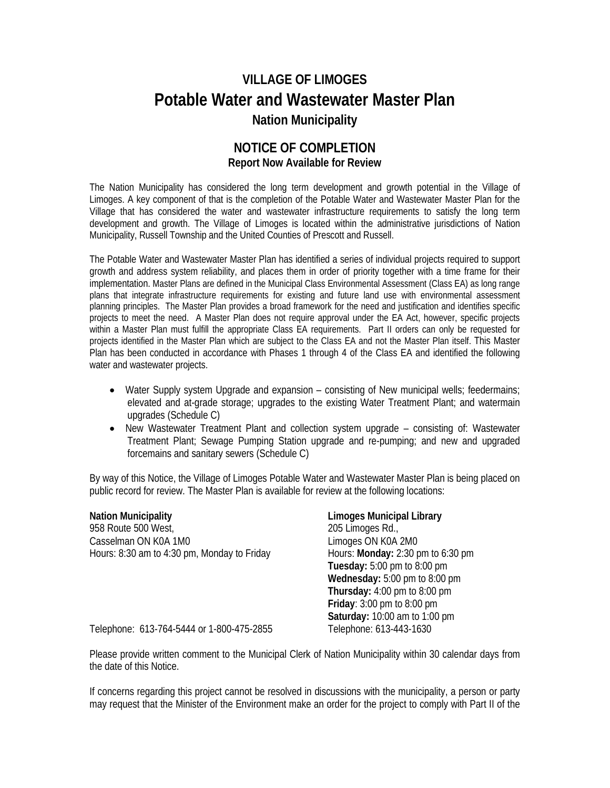## **VILLAGE OF LIMOGES Potable Water and Wastewater Master Plan Nation Municipality**

## **NOTICE OF COMPLETION Report Now Available for Review**

The Nation Municipality has considered the long term development and growth potential in the Village of Limoges. A key component of that is the completion of the Potable Water and Wastewater Master Plan for the Village that has considered the water and wastewater infrastructure requirements to satisfy the long term development and growth. The Village of Limoges is located within the administrative jurisdictions of Nation Municipality, Russell Township and the United Counties of Prescott and Russell.

The Potable Water and Wastewater Master Plan has identified a series of individual projects required to support growth and address system reliability, and places them in order of priority together with a time frame for their implementation. Master Plans are defined in the Municipal Class Environmental Assessment (Class EA) as long range plans that integrate infrastructure requirements for existing and future land use with environmental assessment planning principles. The Master Plan provides a broad framework for the need and justification and identifies specific projects to meet the need. A Master Plan does not require approval under the EA Act, however, specific projects within a Master Plan must fulfill the appropriate Class EA requirements. Part II orders can only be requested for projects identified in the Master Plan which are subject to the Class EA and not the Master Plan itself. This Master Plan has been conducted in accordance with Phases 1 through 4 of the Class EA and identified the following water and wastewater projects.

- Water Supply system Upgrade and expansion consisting of New municipal wells; feedermains; elevated and at-grade storage; upgrades to the existing Water Treatment Plant; and watermain upgrades (Schedule C)
- New Wastewater Treatment Plant and collection system upgrade consisting of: Wastewater Treatment Plant; Sewage Pumping Station upgrade and re-pumping; and new and upgraded forcemains and sanitary sewers (Schedule C)

By way of this Notice, the Village of Limoges Potable Water and Wastewater Master Plan is being placed on public record for review. The Master Plan is available for review at the following locations:

| <b>Nation Municipality</b><br>958 Route 500 West, | <b>Limoges Municipal Library</b><br>205 Limoges Rd., |
|---------------------------------------------------|------------------------------------------------------|
| Casselman ON K0A 1M0                              | Limoges ON K0A 2M0                                   |
| Hours: 8:30 am to 4:30 pm, Monday to Friday       | Hours: Monday: 2:30 pm to 6:30 pm                    |
|                                                   | Tuesday: $5:00 \text{ pm}$ to $8:00 \text{ pm}$      |
|                                                   | Wednesday: 5:00 pm to 8:00 pm                        |
|                                                   | Thursday: $4:00 \text{ pm}$ to $8:00 \text{ pm}$     |
|                                                   | Friday: $3:00 \text{ pm}$ to $8:00 \text{ pm}$       |
|                                                   | Saturday: 10:00 am to 1:00 pm                        |
| Telephone: 613-764-5444 or 1-800-475-2855         | Telephone: 613-443-1630                              |

Please provide written comment to the Municipal Clerk of Nation Municipality within 30 calendar days from the date of this Notice.

If concerns regarding this project cannot be resolved in discussions with the municipality, a person or party may request that the Minister of the Environment make an order for the project to comply with Part II of the